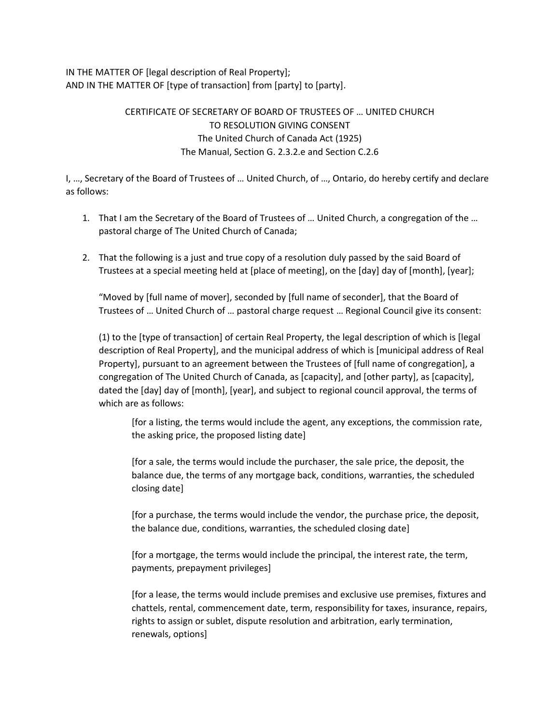IN THE MATTER OF [legal description of Real Property]; AND IN THE MATTER OF [type of transaction] from [party] to [party].

## CERTIFICATE OF SECRETARY OF BOARD OF TRUSTEES OF … UNITED CHURCH TO RESOLUTION GIVING CONSENT The United Church of Canada Act (1925) The Manual, Section G. 2.3.2.e and Section C.2.6

I, …, Secretary of the Board of Trustees of … United Church, of …, Ontario, do hereby certify and declare as follows:

- 1. That I am the Secretary of the Board of Trustees of … United Church, a congregation of the … pastoral charge of The United Church of Canada;
- 2. That the following is a just and true copy of a resolution duly passed by the said Board of Trustees at a special meeting held at [place of meeting], on the [day] day of [month], [year];

"Moved by [full name of mover], seconded by [full name of seconder], that the Board of Trustees of … United Church of … pastoral charge request … Regional Council give its consent:

(1) to the [type of transaction] of certain Real Property, the legal description of which is [legal description of Real Property], and the municipal address of which is [municipal address of Real Property], pursuant to an agreement between the Trustees of [full name of congregation], a congregation of The United Church of Canada, as [capacity], and [other party], as [capacity], dated the [day] day of [month], [year], and subject to regional council approval, the terms of which are as follows:

[for a listing, the terms would include the agent, any exceptions, the commission rate, the asking price, the proposed listing date]

[for a sale, the terms would include the purchaser, the sale price, the deposit, the balance due, the terms of any mortgage back, conditions, warranties, the scheduled closing date]

[for a purchase, the terms would include the vendor, the purchase price, the deposit, the balance due, conditions, warranties, the scheduled closing date]

[for a mortgage, the terms would include the principal, the interest rate, the term, payments, prepayment privileges]

[for a lease, the terms would include premises and exclusive use premises, fixtures and chattels, rental, commencement date, term, responsibility for taxes, insurance, repairs, rights to assign or sublet, dispute resolution and arbitration, early termination, renewals, options]